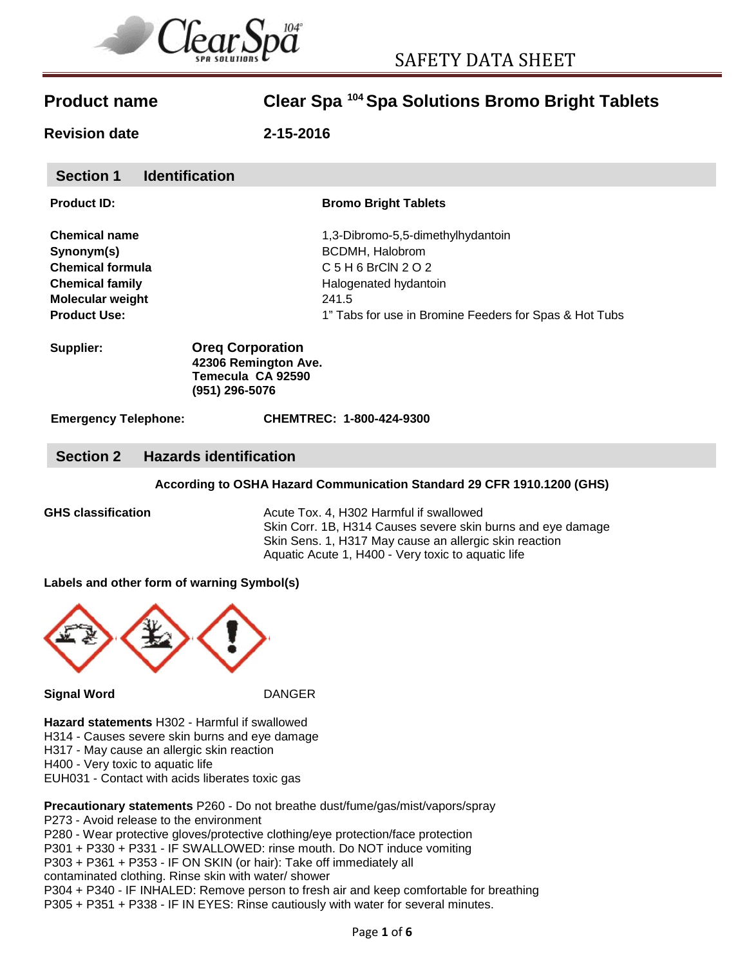

**Revision date 2-15-2016**

| <b>Section 1</b> | <b>Identification</b> |
|------------------|-----------------------|
|------------------|-----------------------|

| <b>Product ID:</b> |  |
|--------------------|--|
|                    |  |

### **Bromo Bright Tablets**

| <b>Chemical name</b>    | 1,3-Dibromo-5,5-dimethylhydantoin                      |  |
|-------------------------|--------------------------------------------------------|--|
| Synonym(s)              | <b>BCDMH, Halobrom</b>                                 |  |
| <b>Chemical formula</b> | C 5 H 6 BrCIN 2 O 2                                    |  |
| <b>Chemical family</b>  | Halogenated hydantoin                                  |  |
| <b>Molecular weight</b> | 241.5                                                  |  |
| <b>Product Use:</b>     | 1" Tabs for use in Bromine Feeders for Spas & Hot Tubs |  |
|                         |                                                        |  |

#### **Supplier: Oreq Corporation 42306 Remington Ave. Temecula CA 92590 (951) 296-5076**

**Emergency Telephone: CHEMTREC: 1-800-424-9300**

### **Section 2 Hazards identification**

### **According to OSHA Hazard Communication Standard 29 CFR 1910.1200 (GHS)**

**GHS classification** Acute Tox. 4, H302 Harmful if swallowed Skin Corr. 1B, H314 Causes severe skin burns and eye damage Skin Sens. 1, H317 May cause an allergic skin reaction Aquatic Acute 1, H400 - Very toxic to aquatic life

**Labels and other form of warning Symbol(s)**



**Signal Word** DANGER

**Hazard statements** H302 - Harmful if swallowed H314 - Causes severe skin burns and eye damage H317 - May cause an allergic skin reaction

H400 - Very toxic to aquatic life

EUH031 - Contact with acids liberates toxic gas

### **Precautionary statements** P260 - Do not breathe dust/fume/gas/mist/vapors/spray P273 - Avoid release to the environment

P280 - Wear protective gloves/protective clothing/eye protection/face protection P301 + P330 + P331 - IF SWALLOWED: rinse mouth. Do NOT induce vomiting P303 + P361 + P353 - IF ON SKIN (or hair): Take off immediately all contaminated clothing. Rinse skin with water/ shower P304 + P340 - IF INHALED: Remove person to fresh air and keep comfortable for breathing P305 + P351 + P338 - IF IN EYES: Rinse cautiously with water for several minutes.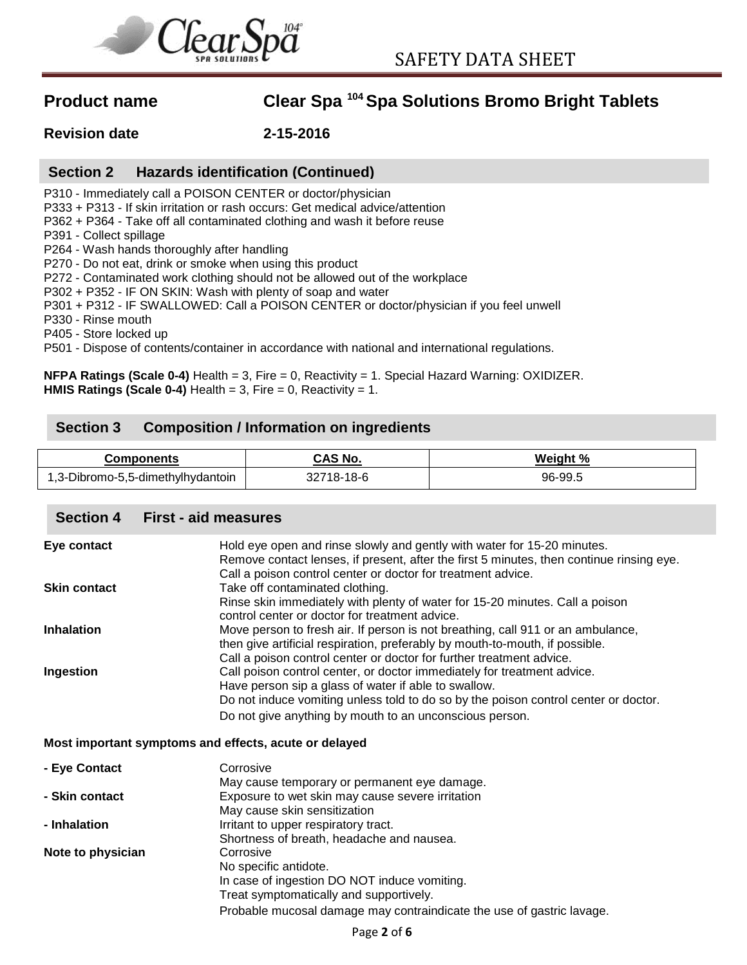

**Revision date 2-15-2016**

## **Section 2 Hazards identification (Continued)**

P310 - Immediately call a POISON CENTER or doctor/physician

P333 + P313 - If skin irritation or rash occurs: Get medical advice/attention

P362 + P364 - Take off all contaminated clothing and wash it before reuse

P391 - Collect spillage

P264 - Wash hands thoroughly after handling

P270 - Do not eat, drink or smoke when using this product

P272 - Contaminated work clothing should not be allowed out of the workplace

P302 + P352 - IF ON SKIN: Wash with plenty of soap and water

P301 + P312 - IF SWALLOWED: Call a POISON CENTER or doctor/physician if you feel unwell

P330 - Rinse mouth

P405 - Store locked up

P501 - Dispose of contents/container in accordance with national and international regulations.

**NFPA Ratings (Scale 0-4)** Health = 3, Fire = 0, Reactivity = 1. Special Hazard Warning: OXIDIZER. **HMIS Ratings (Scale 0-4)** Health = 3, Fire = 0, Reactivity = 1.

## **Section 3 Composition / Information on ingredients**

| Components                        | CAS No.    | Weight % |
|-----------------------------------|------------|----------|
| 1,3-Dibromo-5,5-dimethylhydantoin | 32718-18-6 | 96-99.5  |

### **Section 4 First - aid measures**

| Eye contact                                           | Hold eye open and rinse slowly and gently with water for 15-20 minutes.                  |
|-------------------------------------------------------|------------------------------------------------------------------------------------------|
|                                                       | Remove contact lenses, if present, after the first 5 minutes, then continue rinsing eye. |
|                                                       | Call a poison control center or doctor for treatment advice.                             |
| <b>Skin contact</b>                                   | Take off contaminated clothing.                                                          |
|                                                       | Rinse skin immediately with plenty of water for 15-20 minutes. Call a poison             |
|                                                       | control center or doctor for treatment advice.                                           |
| <b>Inhalation</b>                                     | Move person to fresh air. If person is not breathing, call 911 or an ambulance,          |
|                                                       | then give artificial respiration, preferably by mouth-to-mouth, if possible.             |
|                                                       | Call a poison control center or doctor for further treatment advice.                     |
| Ingestion                                             | Call poison control center, or doctor immediately for treatment advice.                  |
|                                                       | Have person sip a glass of water if able to swallow.                                     |
|                                                       | Do not induce vomiting unless told to do so by the poison control center or doctor.      |
|                                                       | Do not give anything by mouth to an unconscious person.                                  |
|                                                       |                                                                                          |
| Most important symptoms and effects, acute or delayed |                                                                                          |

| - Eye Contact     | Corrosive                                                             |
|-------------------|-----------------------------------------------------------------------|
|                   | May cause temporary or permanent eye damage.                          |
| - Skin contact    | Exposure to wet skin may cause severe irritation                      |
|                   | May cause skin sensitization                                          |
| - Inhalation      | Irritant to upper respiratory tract.                                  |
|                   | Shortness of breath, headache and nausea.                             |
| Note to physician | Corrosive                                                             |
|                   | No specific antidote.                                                 |
|                   | In case of ingestion DO NOT induce vomiting.                          |
|                   | Treat symptomatically and supportively.                               |
|                   | Probable mucosal damage may contraindicate the use of gastric lavage. |
|                   |                                                                       |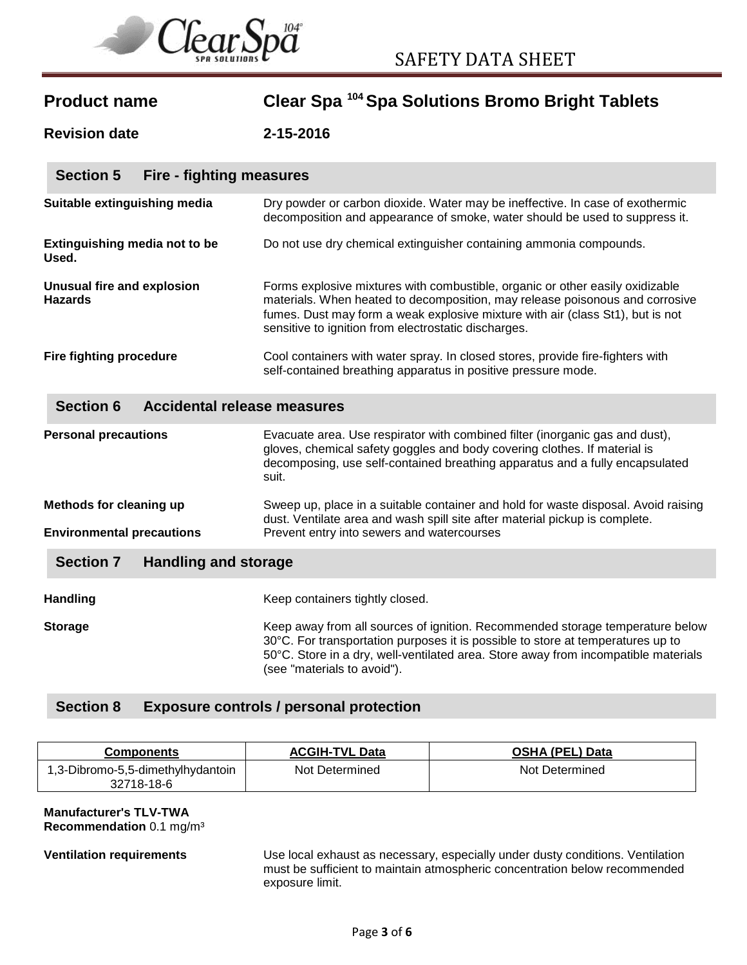

| <b>Product name</b> | Clear Spa 104 Spa Solutions Bromo Bright Tablets |  |
|---------------------|--------------------------------------------------|--|
|---------------------|--------------------------------------------------|--|

**Revision date 2-15-2016**

| <b>Section 5</b><br>Fire - fighting measures |                                                                                                                                                                                                                                                                                                         |
|----------------------------------------------|---------------------------------------------------------------------------------------------------------------------------------------------------------------------------------------------------------------------------------------------------------------------------------------------------------|
| Suitable extinguishing media                 | Dry powder or carbon dioxide. Water may be ineffective. In case of exothermic<br>decomposition and appearance of smoke, water should be used to suppress it.                                                                                                                                            |
| Extinguishing media not to be<br>Used.       | Do not use dry chemical extinguisher containing ammonia compounds.                                                                                                                                                                                                                                      |
| Unusual fire and explosion<br><b>Hazards</b> | Forms explosive mixtures with combustible, organic or other easily oxidizable<br>materials. When heated to decomposition, may release poisonous and corrosive<br>fumes. Dust may form a weak explosive mixture with air (class St1), but is not<br>sensitive to ignition from electrostatic discharges. |
| <b>Fire fighting procedure</b>               | Cool containers with water spray. In closed stores, provide fire-fighters with<br>self-contained breathing apparatus in positive pressure mode.                                                                                                                                                         |

### **Section 6 Accidental release measures**

| <b>Personal precautions</b>                                 | Evacuate area. Use respirator with combined filter (inorganic gas and dust),<br>gloves, chemical safety goggles and body covering clothes. If material is<br>decomposing, use self-contained breathing apparatus and a fully encapsulated<br>suit.                                    |
|-------------------------------------------------------------|---------------------------------------------------------------------------------------------------------------------------------------------------------------------------------------------------------------------------------------------------------------------------------------|
| Methods for cleaning up<br><b>Environmental precautions</b> | Sweep up, place in a suitable container and hold for waste disposal. Avoid raising<br>dust. Ventilate area and wash spill site after material pickup is complete.<br>Prevent entry into sewers and watercourses                                                                       |
|                                                             |                                                                                                                                                                                                                                                                                       |
| <b>Section 7</b><br><b>Handling and storage</b>             |                                                                                                                                                                                                                                                                                       |
| <b>Handling</b>                                             | Keep containers tightly closed.                                                                                                                                                                                                                                                       |
| <b>Storage</b>                                              | Keep away from all sources of ignition. Recommended storage temperature below<br>30°C. For transportation purposes it is possible to store at temperatures up to<br>50°C. Store in a dry, well-ventilated area. Store away from incompatible materials<br>(see "materials to avoid"). |

## **Section 8 Exposure controls / personal protection**

| <b>Components</b>                               | <b>ACGIH-TVL Data</b> | <b>OSHA (PEL) Data</b> |
|-------------------------------------------------|-----------------------|------------------------|
| 1,3-Dibromo-5,5-dimethylhydantoin<br>32718-18-6 | Not Determined        | Not Determined         |

#### **Manufacturer's TLV-TWA Recommendation** 0.1 mg/m³

**Ventilation requirements** Use local exhaust as necessary, especially under dusty conditions. Ventilation must be sufficient to maintain atmospheric concentration below recommended exposure limit.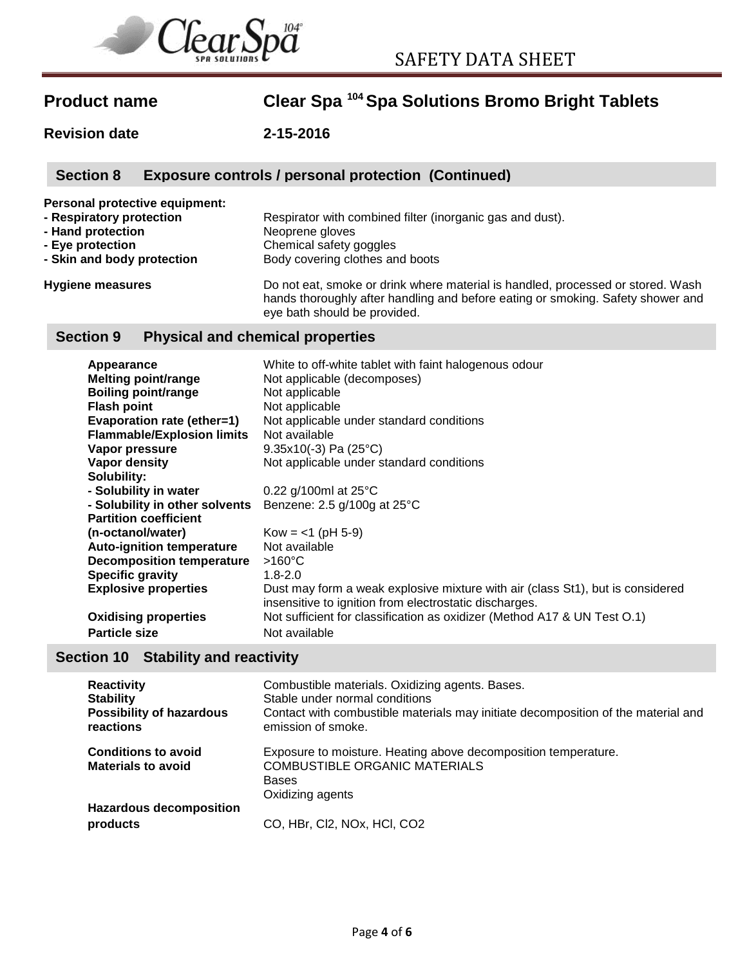

**Revision date 2-15-2016**

# **Section 8 Exposure controls / personal protection (Continued)**

**Personal protective equipment:**

| - Respiratory protection   | Respirator with combined filter (inorganic gas and dust). |
|----------------------------|-----------------------------------------------------------|
| - Hand protection          | Neoprene gloves                                           |
| - Eve protection           | Chemical safety goggles                                   |
| - Skin and body protection | Body covering clothes and boots                           |
|                            |                                                           |

**Hygiene measures** Do not eat, smoke or drink where material is handled, processed or stored. Wash hands thoroughly after handling and before eating or smoking. Safety shower and eye bath should be provided.

## **Section 9 Physical and chemical properties**

| Appearance                        | White to off-white tablet with faint halogenous odour                          |
|-----------------------------------|--------------------------------------------------------------------------------|
| <b>Melting point/range</b>        | Not applicable (decomposes)                                                    |
| <b>Boiling point/range</b>        | Not applicable                                                                 |
| <b>Flash point</b>                | Not applicable                                                                 |
| Evaporation rate (ether=1)        | Not applicable under standard conditions                                       |
| <b>Flammable/Explosion limits</b> | Not available                                                                  |
| Vapor pressure                    | $9.35x10(-3)$ Pa (25°C)                                                        |
| Vapor density                     | Not applicable under standard conditions                                       |
| Solubility:                       |                                                                                |
| - Solubility in water             | 0.22 g/100ml at $25^{\circ}$ C                                                 |
| - Solubility in other solvents    | Benzene: 2.5 g/100g at 25°C                                                    |
| <b>Partition coefficient</b>      |                                                                                |
| (n-octanol/water)                 | $Kow = <1$ (pH 5-9)                                                            |
| <b>Auto-ignition temperature</b>  | Not available                                                                  |
| <b>Decomposition temperature</b>  | $>160^{\circ}$ C                                                               |
| <b>Specific gravity</b>           | $1.8 - 2.0$                                                                    |
| <b>Explosive properties</b>       | Dust may form a weak explosive mixture with air (class St1), but is considered |
|                                   | insensitive to ignition from electrostatic discharges.                         |
| <b>Oxidising properties</b>       | Not sufficient for classification as oxidizer (Method A17 & UN Test O.1)       |
| <b>Particle size</b>              | Not available                                                                  |

## **Section 10 Stability and reactivity**

| <b>Reactivity</b><br><b>Stability</b><br><b>Possibility of hazardous</b><br>reactions | Combustible materials. Oxidizing agents. Bases.<br>Stable under normal conditions<br>Contact with combustible materials may initiate decomposition of the material and<br>emission of smoke. |
|---------------------------------------------------------------------------------------|----------------------------------------------------------------------------------------------------------------------------------------------------------------------------------------------|
| <b>Conditions to avoid</b><br><b>Materials to avoid</b>                               | Exposure to moisture. Heating above decomposition temperature.<br><b>COMBUSTIBLE ORGANIC MATERIALS</b><br><b>Bases</b><br>Oxidizing agents                                                   |
| <b>Hazardous decomposition</b><br>products                                            | CO, HBr, Cl2, NOx, HCl, CO2                                                                                                                                                                  |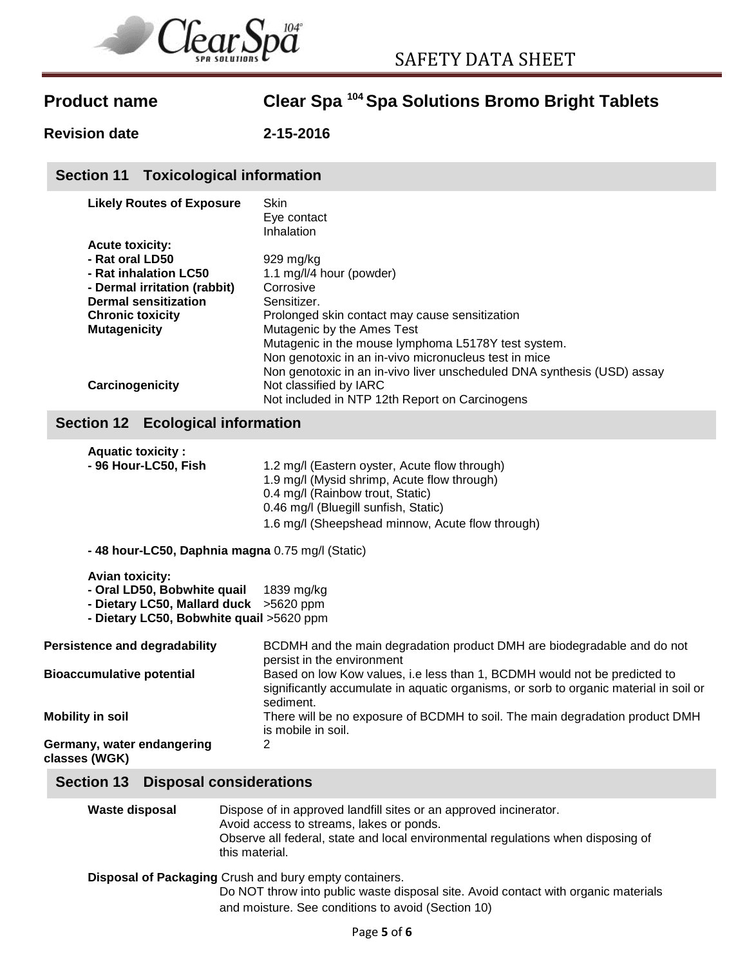

**Revision date 2-15-2016**

## **Section 11 Toxicological information**

| <b>Likely Routes of Exposure</b> | Skin                                                                    |
|----------------------------------|-------------------------------------------------------------------------|
|                                  | Eye contact                                                             |
|                                  | Inhalation                                                              |
| <b>Acute toxicity:</b>           |                                                                         |
| - Rat oral LD50                  | $929$ mg/kg                                                             |
| - Rat inhalation LC50            | 1.1 mg/l/4 hour (powder)                                                |
| - Dermal irritation (rabbit)     | Corrosive                                                               |
| <b>Dermal sensitization</b>      | Sensitizer.                                                             |
| <b>Chronic toxicity</b>          | Prolonged skin contact may cause sensitization                          |
| <b>Mutagenicity</b>              | Mutagenic by the Ames Test                                              |
|                                  | Mutagenic in the mouse lymphoma L5178Y test system.                     |
|                                  | Non genotoxic in an in-vivo micronucleus test in mice                   |
|                                  | Non genotoxic in an in-vivo liver unscheduled DNA synthesis (USD) assay |
| Carcinogenicity                  | Not classified by IARC                                                  |
|                                  | Not included in NTP 12th Report on Carcinogens                          |

## **Section 12 Ecological information**

| <b>Aquatic toxicity:</b><br>- 96 Hour-LC50, Fish                                                                                             | 1.2 mg/l (Eastern oyster, Acute flow through)<br>1.9 mg/l (Mysid shrimp, Acute flow through)<br>0.4 mg/l (Rainbow trout, Static)<br>0.46 mg/l (Bluegill sunfish, Static)<br>1.6 mg/l (Sheepshead minnow, Acute flow through) |  |
|----------------------------------------------------------------------------------------------------------------------------------------------|------------------------------------------------------------------------------------------------------------------------------------------------------------------------------------------------------------------------------|--|
| - 48 hour-LC50, Daphnia magna 0.75 mg/l (Static)                                                                                             |                                                                                                                                                                                                                              |  |
| <b>Avian toxicity:</b><br>- Oral LD50, Bobwhite quail<br>- Dietary LC50, Mallard duck > 5620 ppm<br>- Dietary LC50, Bobwhite quail >5620 ppm | 1839 mg/kg                                                                                                                                                                                                                   |  |
| <b>Persistence and degradability</b>                                                                                                         | BCDMH and the main degradation product DMH are biodegradable and do not<br>persist in the environment                                                                                                                        |  |
| <b>Bioaccumulative potential</b>                                                                                                             | Based on low Kow values, i.e less than 1, BCDMH would not be predicted to<br>significantly accumulate in aquatic organisms, or sorb to organic material in soil or<br>sediment.                                              |  |
| <b>Mobility in soil</b>                                                                                                                      | There will be no exposure of BCDMH to soil. The main degradation product DMH<br>is mobile in soil.                                                                                                                           |  |
| Germany, water endangering<br>classes (WGK)                                                                                                  | 2                                                                                                                                                                                                                            |  |
| Section 13 Disposal considerations                                                                                                           |                                                                                                                                                                                                                              |  |

| <b>Waste disposal</b> | Dispose of in approved landfill sites or an approved incinerator.<br>Avoid access to streams, lakes or ponds.<br>Observe all federal, state and local environmental regulations when disposing of<br>this material. |
|-----------------------|---------------------------------------------------------------------------------------------------------------------------------------------------------------------------------------------------------------------|
|                       | Disposal of Packaging Crush and bury empty containers.<br>Do NOT throw into public waste disposal site. Avoid contact with organic materials<br>and moisture. See conditions to avoid (Section 10)                  |